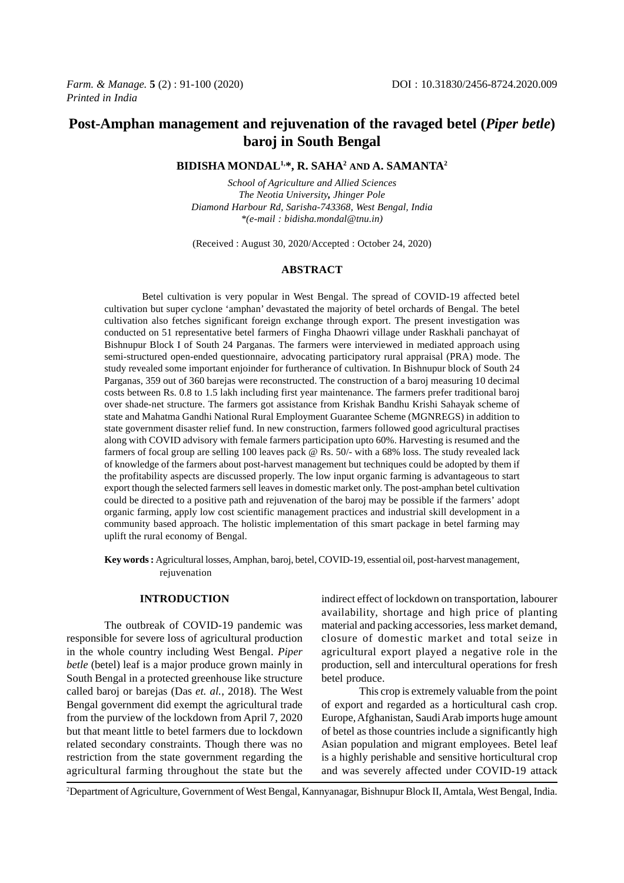# **Post-Amphan management and rejuvenation of the ravaged betel (***Piper betle***) baroj in South Bengal**

# **BIDISHA MONDAL1,\*, R. SAHA2 AND A. SAMANTA2**

*School of Agriculture and Allied Sciences The Neotia University, Jhinger Pole Diamond Harbour Rd, Sarisha-743368, West Bengal, India \*(e-mail : bidisha.mondal@tnu.in)*

(Received : August 30, 2020/Accepted : October 24, 2020)

# **ABSTRACT**

Betel cultivation is very popular in West Bengal. The spread of COVID-19 affected betel cultivation but super cyclone 'amphan' devastated the majority of betel orchards of Bengal. The betel cultivation also fetches significant foreign exchange through export. The present investigation was conducted on 51 representative betel farmers of Fingha Dhaowri village under Raskhali panchayat of Bishnupur Block I of South 24 Parganas. The farmers were interviewed in mediated approach using semi-structured open-ended questionnaire, advocating participatory rural appraisal (PRA) mode. The study revealed some important enjoinder for furtherance of cultivation. In Bishnupur block of South 24 Parganas, 359 out of 360 barejas were reconstructed. The construction of a baroj measuring 10 decimal costs between Rs. 0.8 to 1.5 lakh including first year maintenance. The farmers prefer traditional baroj over shade-net structure. The farmers got assistance from Krishak Bandhu Krishi Sahayak scheme of state and Mahatma Gandhi National Rural Employment Guarantee Scheme (MGNREGS) in addition to state government disaster relief fund. In new construction, farmers followed good agricultural practises along with COVID advisory with female farmers participation upto 60%. Harvesting is resumed and the farmers of focal group are selling 100 leaves pack @ Rs. 50/- with a 68% loss. The study revealed lack of knowledge of the farmers about post-harvest management but techniques could be adopted by them if the profitability aspects are discussed properly. The low input organic farming is advantageous to start export though the selected farmers sell leaves in domestic market only. The post-amphan betel cultivation could be directed to a positive path and rejuvenation of the baroj may be possible if the farmers' adopt organic farming, apply low cost scientific management practices and industrial skill development in a community based approach. The holistic implementation of this smart package in betel farming may uplift the rural economy of Bengal.

**Key words :** Agricultural losses, Amphan, baroj, betel, COVID-19, essential oil, post-harvest management, rejuvenation

## **INTRODUCTION**

The outbreak of COVID-19 pandemic was responsible for severe loss of agricultural production in the whole country including West Bengal. *Piper betle* (betel) leaf is a major produce grown mainly in South Bengal in a protected greenhouse like structure called baroj or barejas (Das *et. al.*, 2018). The West Bengal government did exempt the agricultural trade from the purview of the lockdown from April 7, 2020 but that meant little to betel farmers due to lockdown related secondary constraints. Though there was no restriction from the state government regarding the agricultural farming throughout the state but the indirect effect of lockdown on transportation, labourer availability, shortage and high price of planting material and packing accessories, less market demand, closure of domestic market and total seize in agricultural export played a negative role in the production, sell and intercultural operations for fresh betel produce.

This crop is extremely valuable from the point of export and regarded as a horticultural cash crop. Europe, Afghanistan, Saudi Arab imports huge amount of betel as those countries include a significantly high Asian population and migrant employees. Betel leaf is a highly perishable and sensitive horticultural crop and was severely affected under COVID-19 attack

2 Department of Agriculture, Government of West Bengal, Kannyanagar, Bishnupur Block II, Amtala, West Bengal, India.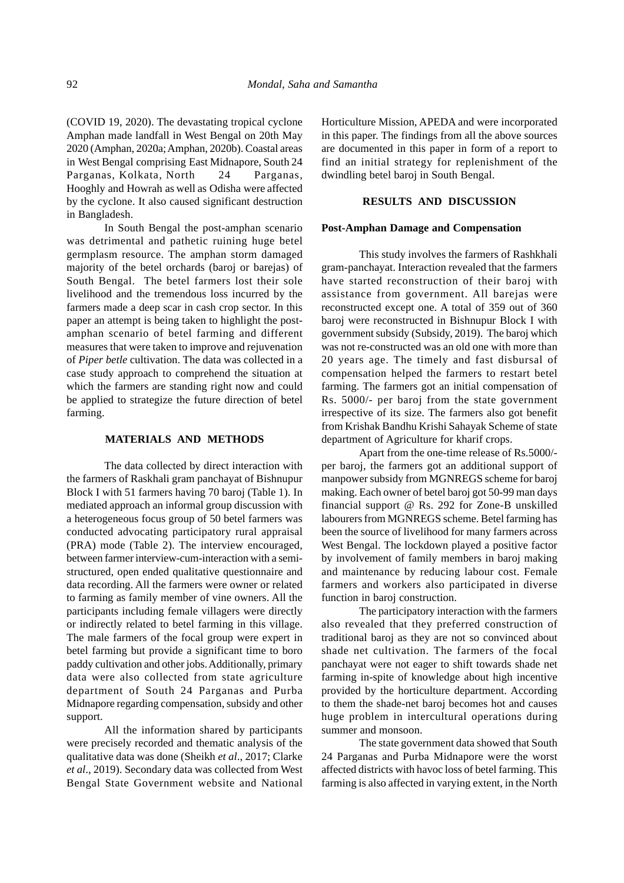(COVID 19, 2020). The devastating tropical cyclone Amphan made landfall in West Bengal on 20th May 2020 (Amphan, 2020a; Amphan, 2020b). Coastal areas in West Bengal comprising East Midnapore, South 24 Parganas, Kolkata, North 24 Parganas, Hooghly and Howrah as well as Odisha were affected by the cyclone. It also caused significant destruction in Bangladesh.

In South Bengal the post-amphan scenario was detrimental and pathetic ruining huge betel germplasm resource. The amphan storm damaged majority of the betel orchards (baroj or barejas) of South Bengal. The betel farmers lost their sole livelihood and the tremendous loss incurred by the farmers made a deep scar in cash crop sector. In this paper an attempt is being taken to highlight the postamphan scenario of betel farming and different measures that were taken to improve and rejuvenation of *Piper betle* cultivation. The data was collected in a case study approach to comprehend the situation at which the farmers are standing right now and could be applied to strategize the future direction of betel farming.

#### **MATERIALS AND METHODS**

The data collected by direct interaction with the farmers of Raskhali gram panchayat of Bishnupur Block I with 51 farmers having 70 baroj (Table 1). In mediated approach an informal group discussion with a heterogeneous focus group of 50 betel farmers was conducted advocating participatory rural appraisal (PRA) mode (Table 2). The interview encouraged, between farmer interview-cum-interaction with a semistructured, open ended qualitative questionnaire and data recording. All the farmers were owner or related to farming as family member of vine owners. All the participants including female villagers were directly or indirectly related to betel farming in this village. The male farmers of the focal group were expert in betel farming but provide a significant time to boro paddy cultivation and other jobs. Additionally, primary data were also collected from state agriculture department of South 24 Parganas and Purba Midnapore regarding compensation, subsidy and other support.

All the information shared by participants were precisely recorded and thematic analysis of the qualitative data was done (Sheikh *et al*., 2017; Clarke *et al*., 2019). Secondary data was collected from West Bengal State Government website and National Horticulture Mission, APEDA and were incorporated in this paper. The findings from all the above sources are documented in this paper in form of a report to find an initial strategy for replenishment of the dwindling betel baroj in South Bengal.

# **RESULTS AND DISCUSSION**

## **Post-Amphan Damage and Compensation**

This study involves the farmers of Rashkhali gram-panchayat. Interaction revealed that the farmers have started reconstruction of their baroj with assistance from government. All barejas were reconstructed except one. A total of 359 out of 360 baroj were reconstructed in Bishnupur Block I with government subsidy (Subsidy, 2019). The baroj which was not re-constructed was an old one with more than 20 years age. The timely and fast disbursal of compensation helped the farmers to restart betel farming. The farmers got an initial compensation of Rs. 5000/- per baroj from the state government irrespective of its size. The farmers also got benefit from Krishak Bandhu Krishi Sahayak Scheme of state department of Agriculture for kharif crops.

Apart from the one-time release of Rs.5000/ per baroj, the farmers got an additional support of manpower subsidy from MGNREGS scheme for baroj making. Each owner of betel baroj got 50-99 man days financial support @ Rs. 292 for Zone-B unskilled labourers from MGNREGS scheme. Betel farming has been the source of livelihood for many farmers across West Bengal. The lockdown played a positive factor by involvement of family members in baroj making and maintenance by reducing labour cost. Female farmers and workers also participated in diverse function in baroj construction.

The participatory interaction with the farmers also revealed that they preferred construction of traditional baroj as they are not so convinced about shade net cultivation. The farmers of the focal panchayat were not eager to shift towards shade net farming in-spite of knowledge about high incentive provided by the horticulture department. According to them the shade-net baroj becomes hot and causes huge problem in intercultural operations during summer and monsoon.

The state government data showed that South 24 Parganas and Purba Midnapore were the worst affected districts with havoc loss of betel farming. This farming is also affected in varying extent, in the North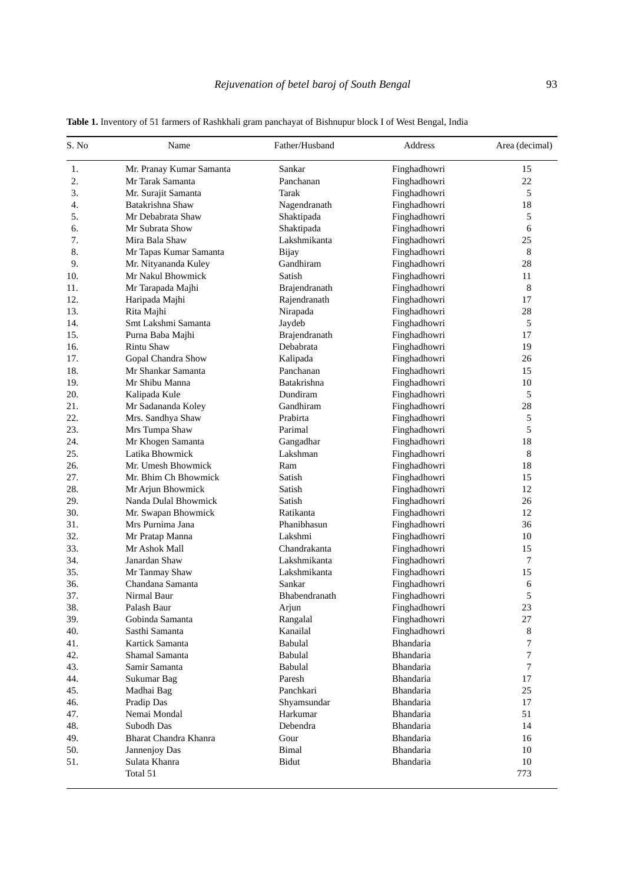| S. No | Name                     | Father/Husband | Address      | Area (decimal) |
|-------|--------------------------|----------------|--------------|----------------|
| 1.    | Mr. Pranay Kumar Samanta | Sankar         | Finghadhowri | 15             |
| 2.    | Mr Tarak Samanta         | Panchanan      | Finghadhowri | 22             |
| 3.    | Mr. Surajit Samanta      | Tarak          | Finghadhowri | 5              |
| 4.    | Batakrishna Shaw         | Nagendranath   | Finghadhowri | 18             |
| 5.    | Mr Debabrata Shaw        | Shaktipada     | Finghadhowri | 5              |
| 6.    | Mr Subrata Show          | Shaktipada     | Finghadhowri | 6              |
| 7.    | Mira Bala Shaw           | Lakshmikanta   | Finghadhowri | 25             |
| 8.    | Mr Tapas Kumar Samanta   | <b>Bijay</b>   | Finghadhowri | 8              |
| 9.    | Mr. Nityananda Kuley     | Gandhiram      | Finghadhowri | 28             |
| 10.   | Mr Nakul Bhowmick        | Satish         | Finghadhowri | 11             |
| 11.   | Mr Tarapada Majhi        | Brajendranath  | Finghadhowri | 8              |
| 12.   | Haripada Majhi           | Rajendranath   | Finghadhowri | 17             |
| 13.   | Rita Majhi               | Nirapada       | Finghadhowri | 28             |
| 14.   | Smt Lakshmi Samanta      | Jaydeb         | Finghadhowri | 5              |
| 15.   | Purna Baba Majhi         | Brajendranath  | Finghadhowri | 17             |
| 16.   | <b>Rintu Shaw</b>        | Debabrata      | Finghadhowri | 19             |
| 17.   | Gopal Chandra Show       | Kalipada       | Finghadhowri | 26             |
| 18.   | Mr Shankar Samanta       | Panchanan      | Finghadhowri | 15             |
| 19.   | Mr Shibu Manna           | Batakrishna    | Finghadhowri | 10             |
| 20.   | Kalipada Kule            | Dundiram       | Finghadhowri | 5              |
| 21.   | Mr Sadananda Koley       | Gandhiram      | Finghadhowri | 28             |
| 22.   | Mrs. Sandhya Shaw        | Prabirta       | Finghadhowri | 5              |
| 23.   | Mrs Tumpa Shaw           | Parimal        | Finghadhowri | 5              |
| 24.   | Mr Khogen Samanta        | Gangadhar      | Finghadhowri | 18             |
| 25.   | Latika Bhowmick          | Lakshman       | Finghadhowri | 8              |
| 26.   | Mr. Umesh Bhowmick       | Ram            | Finghadhowri | 18             |
| 27.   | Mr. Bhim Ch Bhowmick     | Satish         | Finghadhowri | 15             |
| 28.   | Mr Arjun Bhowmick        | Satish         | Finghadhowri | 12             |
| 29.   | Nanda Dulal Bhowmick     | Satish         | Finghadhowri | 26             |
| 30.   | Mr. Swapan Bhowmick      | Ratikanta      | Finghadhowri | 12             |
| 31.   | Mrs Purnima Jana         | Phanibhasun    | Finghadhowri | 36             |
| 32.   | Mr Pratap Manna          | Lakshmi        | Finghadhowri | 10             |
| 33.   | Mr Ashok Mall            | Chandrakanta   | Finghadhowri | 15             |
| 34.   | Janardan Shaw            | Lakshmikanta   | Finghadhowri | 7              |
| 35.   | Mr Tanmay Shaw           | Lakshmikanta   | Finghadhowri | 15             |
| 36.   | Chandana Samanta         | Sankar         | Finghadhowri | 6              |
| 37.   | Nirmal Baur              | Bhabendranath  | Finghadhowri | 5              |
| 38.   | Palash Baur              | Arjun          | Finghadhowri | 23             |
| 39.   | Gobinda Samanta          | Rangalal       | Finghadhowri | 27             |
| 40.   | Sasthi Samanta           | Kanailal       | Finghadhowri | 8              |
| 41.   | Kartick Samanta          | Babulal        | Bhandaria    | 7              |
| 42.   | Shamal Samanta           | Babulal        | Bhandaria    | 7              |
| 43.   | Samir Samanta            | Babulal        | Bhandaria    | 7              |
| 44.   | Sukumar Bag              | Paresh         | Bhandaria    | 17             |
| 45.   | Madhai Bag               | Panchkari      | Bhandaria    | 25             |
| 46.   | Pradip Das               | Shyamsundar    | Bhandaria    | 17             |
| 47.   | Nemai Mondal             | Harkumar       | Bhandaria    | 51             |
| 48.   | Subodh Das               | Debendra       | Bhandaria    | 14             |
| 49.   | Bharat Chandra Khanra    | Gour           | Bhandaria    | 16             |
| 50.   | Jannenjoy Das            | <b>Bimal</b>   | Bhandaria    | 10             |
| 51.   | Sulata Khanra            | Bidut          | Bhandaria    | 10             |
|       | Total 51                 |                |              | 773            |

**Table 1.** Inventory of 51 farmers of Rashkhali gram panchayat of Bishnupur block I of West Bengal, India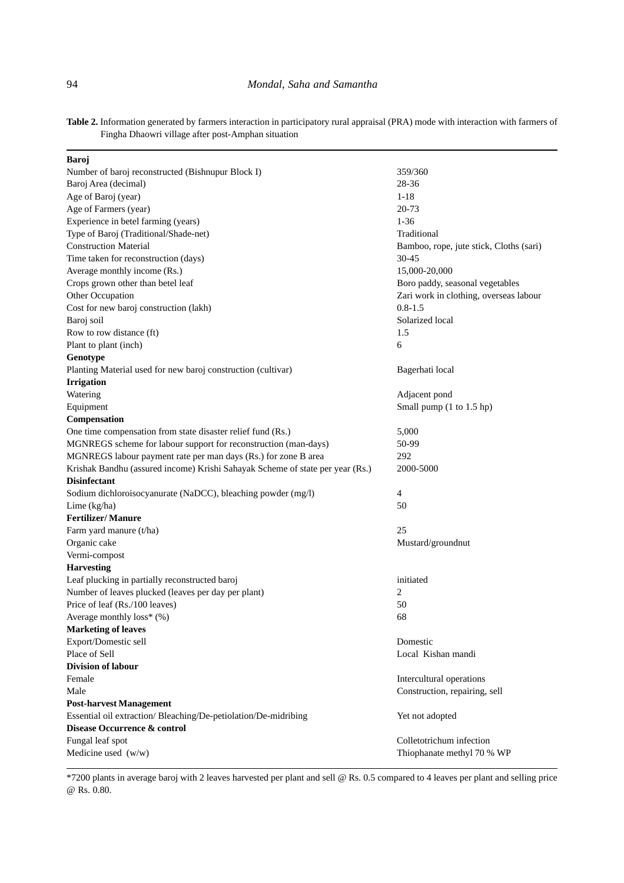**Table 2.** Information generated by farmers interaction in participatory rural appraisal (PRA) mode with interaction with farmers of Fingha Dhaowri village after post-Amphan situation

| Baroj                                                                         |                                         |
|-------------------------------------------------------------------------------|-----------------------------------------|
| Number of baroj reconstructed (Bishnupur Block I)                             | 359/360                                 |
| Baroj Area (decimal)                                                          | 28-36                                   |
| Age of Baroj (year)                                                           | $1 - 18$                                |
| Age of Farmers (year)                                                         | 20-73                                   |
| Experience in betel farming (years)                                           | $1 - 36$                                |
| Type of Baroj (Traditional/Shade-net)                                         | Traditional                             |
| <b>Construction Material</b>                                                  | Bamboo, rope, jute stick, Cloths (sari) |
| Time taken for reconstruction (days)                                          | 30-45                                   |
| Average monthly income (Rs.)                                                  | 15,000-20,000                           |
| Crops grown other than betel leaf                                             | Boro paddy, seasonal vegetables         |
| Other Occupation                                                              | Zari work in clothing, overseas labour  |
| Cost for new baroj construction (lakh)                                        | $0.8 - 1.5$                             |
| Baroj soil                                                                    | Solarized local                         |
| Row to row distance (ft)                                                      | 1.5                                     |
| Plant to plant (inch)                                                         | 6                                       |
| Genotype                                                                      |                                         |
| Planting Material used for new baroj construction (cultivar)                  | Bagerhati local                         |
| <b>Irrigation</b>                                                             |                                         |
| Watering                                                                      | Adjacent pond                           |
| Equipment                                                                     | Small pump (1 to 1.5 hp)                |
| Compensation                                                                  |                                         |
| One time compensation from state disaster relief fund (Rs.)                   | 5,000                                   |
| MGNREGS scheme for labour support for reconstruction (man-days)               | 50-99                                   |
| MGNREGS labour payment rate per man days (Rs.) for zone B area                | 292                                     |
| Krishak Bandhu (assured income) Krishi Sahayak Scheme of state per year (Rs.) | 2000-5000                               |
| <b>Disinfectant</b>                                                           |                                         |
| Sodium dichloroisocyanurate (NaDCC), bleaching powder (mg/l)                  | 4                                       |
| Lime $(kg/ha)$                                                                | 50                                      |
| <b>Fertilizer/Manure</b>                                                      |                                         |
| Farm yard manure (t/ha)                                                       | 25                                      |
| Organic cake                                                                  | Mustard/groundnut                       |
| Vermi-compost                                                                 |                                         |
| <b>Harvesting</b>                                                             |                                         |
| Leaf plucking in partially reconstructed baroj                                | initiated                               |
| Number of leaves plucked (leaves per day per plant)                           | 2                                       |
| Price of leaf (Rs./100 leaves)                                                | 50                                      |
| Average monthly $loss^*(\%)$                                                  | 68                                      |
| <b>Marketing of leaves</b>                                                    |                                         |
| Export/Domestic sell                                                          | Domestic                                |
| Place of Sell                                                                 | Local Kishan mandi                      |
| <b>Division of labour</b>                                                     |                                         |
| Female                                                                        | Intercultural operations                |
| Male                                                                          | Construction, repairing, sell           |
| <b>Post-harvest Management</b>                                                |                                         |
| Essential oil extraction/Bleaching/De-petiolation/De-midribing                | Yet not adopted                         |
| Disease Occurrence & control                                                  |                                         |
| Fungal leaf spot                                                              | Colletotrichum infection                |
| Medicine used (w/w)                                                           | Thiophanate methyl 70 % WP              |
|                                                                               |                                         |

\*7200 plants in average baroj with 2 leaves harvested per plant and sell @ Rs. 0.5 compared to 4 leaves per plant and selling price @ Rs. 0.80.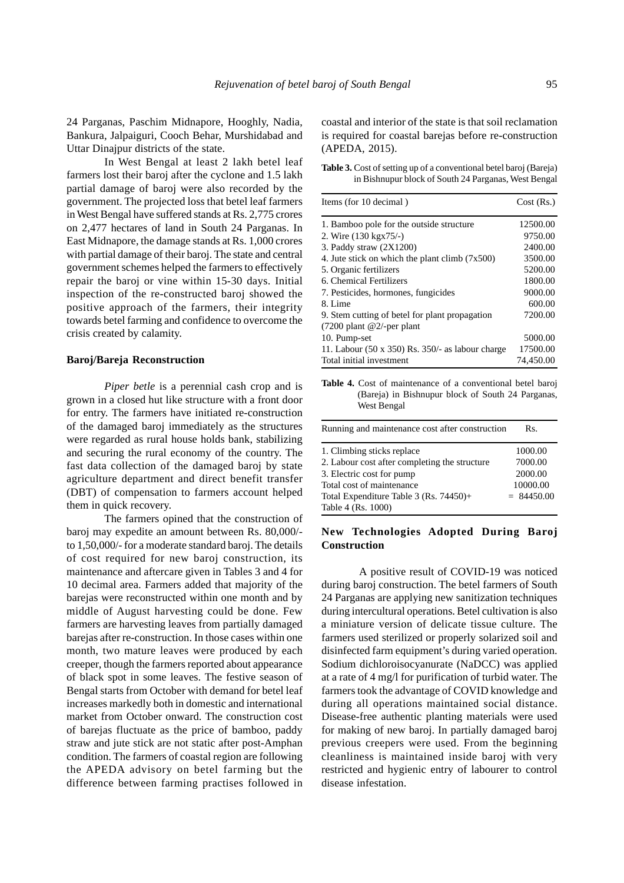24 Parganas, Paschim Midnapore, Hooghly, Nadia, Bankura, Jalpaiguri, Cooch Behar, Murshidabad and Uttar Dinajpur districts of the state.

In West Bengal at least 2 lakh betel leaf farmers lost their baroj after the cyclone and 1.5 lakh partial damage of baroj were also recorded by the government. The projected loss that betel leaf farmers in West Bengal have suffered stands at Rs. 2,775 crores on 2,477 hectares of land in South 24 Parganas. In East Midnapore, the damage stands at Rs. 1,000 crores with partial damage of their baroj. The state and central government schemes helped the farmers to effectively repair the baroj or vine within 15-30 days. Initial inspection of the re-constructed baroj showed the positive approach of the farmers, their integrity towards betel farming and confidence to overcome the crisis created by calamity.

#### **Baroj/Bareja Reconstruction**

*Piper betle* is a perennial cash crop and is grown in a closed hut like structure with a front door for entry. The farmers have initiated re-construction of the damaged baroj immediately as the structures were regarded as rural house holds bank, stabilizing and securing the rural economy of the country. The fast data collection of the damaged baroj by state agriculture department and direct benefit transfer (DBT) of compensation to farmers account helped them in quick recovery.

The farmers opined that the construction of baroj may expedite an amount between Rs. 80,000/ to 1,50,000/- for a moderate standard baroj. The details of cost required for new baroj construction, its maintenance and aftercare given in Tables 3 and 4 for 10 decimal area. Farmers added that majority of the barejas were reconstructed within one month and by middle of August harvesting could be done. Few farmers are harvesting leaves from partially damaged barejas after re-construction. In those cases within one month, two mature leaves were produced by each creeper, though the farmers reported about appearance of black spot in some leaves. The festive season of Bengal starts from October with demand for betel leaf increases markedly both in domestic and international market from October onward. The construction cost of barejas fluctuate as the price of bamboo, paddy straw and jute stick are not static after post-Amphan condition. The farmers of coastal region are following the APEDA advisory on betel farming but the difference between farming practises followed in

coastal and interior of the state is that soil reclamation is required for coastal barejas before re-construction (APEDA, 2015).

**Table 3.** Cost of setting up of a conventional betel baroj (Bareja) in Bishnupur block of South 24 Parganas, West Bengal

| Items (for 10 decimal)                                  | Cost(Rs.) |
|---------------------------------------------------------|-----------|
| 1. Bamboo pole for the outside structure                | 12500.00  |
| 2. Wire (130 kgx75/-)                                   | 9750.00   |
| 3. Paddy straw $(2X1200)$                               | 2400.00   |
| 4. Jute stick on which the plant climb $(7x500)$        | 3500.00   |
| 5. Organic fertilizers                                  | 5200.00   |
| 6. Chemical Fertilizers                                 | 1800.00   |
| 7. Pesticides, hormones, fungicides                     | 9000.00   |
| 8. Lime                                                 | 600.00    |
| 9. Stem cutting of betel for plant propagation          | 7200.00   |
| $(7200 \text{ plant } @2/-per \text{per plant})$        |           |
| 10. Pump-set                                            | 5000.00   |
| 11. Labour $(50 \times 350)$ Rs. 350/- as labour charge | 17500.00  |
| Total initial investment                                | 74,450.00 |

**Table 4.** Cost of maintenance of a conventional betel baroj (Bareja) in Bishnupur block of South 24 Parganas, West Bengal

| Running and maintenance cost after construction | Rs.          |
|-------------------------------------------------|--------------|
| 1. Climbing sticks replace                      | 1000.00      |
| 2. Labour cost after completing the structure   | 7000.00      |
| 3. Electric cost for pump                       | 2000.00      |
| Total cost of maintenance                       | 10000.00     |
| Total Expenditure Table $3$ (Rs. 74450)+        | $= 84450.00$ |
| Table 4 (Rs. 1000)                              |              |

# **New Technologies Adopted During Baroj Construction**

A positive result of COVID-19 was noticed during baroj construction. The betel farmers of South 24 Parganas are applying new sanitization techniques during intercultural operations. Betel cultivation is also a miniature version of delicate tissue culture. The farmers used sterilized or properly solarized soil and disinfected farm equipment's during varied operation. Sodium dichloroisocyanurate (NaDCC) was applied at a rate of 4 mg/l for purification of turbid water. The farmers took the advantage of COVID knowledge and during all operations maintained social distance. Disease-free authentic planting materials were used for making of new baroj. In partially damaged baroj previous creepers were used. From the beginning cleanliness is maintained inside baroj with very restricted and hygienic entry of labourer to control disease infestation.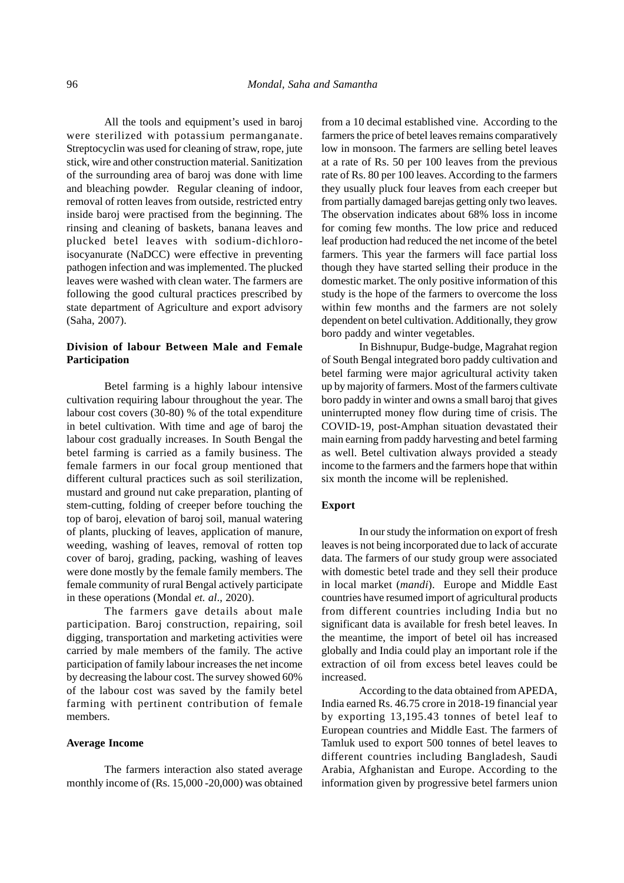All the tools and equipment's used in baroj were sterilized with potassium permanganate. Streptocyclin was used for cleaning of straw, rope, jute stick, wire and other construction material. Sanitization of the surrounding area of baroj was done with lime and bleaching powder. Regular cleaning of indoor, removal of rotten leaves from outside, restricted entry inside baroj were practised from the beginning. The rinsing and cleaning of baskets, banana leaves and plucked betel leaves with sodium-dichloroisocyanurate (NaDCC) were effective in preventing pathogen infection and was implemented. The plucked leaves were washed with clean water. The farmers are following the good cultural practices prescribed by state department of Agriculture and export advisory (Saha, 2007).

# **Division of labour Between Male and Female Participation**

Betel farming is a highly labour intensive cultivation requiring labour throughout the year. The labour cost covers (30-80) % of the total expenditure in betel cultivation. With time and age of baroj the labour cost gradually increases. In South Bengal the betel farming is carried as a family business. The female farmers in our focal group mentioned that different cultural practices such as soil sterilization, mustard and ground nut cake preparation, planting of stem-cutting, folding of creeper before touching the top of baroj, elevation of baroj soil, manual watering of plants, plucking of leaves, application of manure, weeding, washing of leaves, removal of rotten top cover of baroj, grading, packing, washing of leaves were done mostly by the female family members. The female community of rural Bengal actively participate in these operations (Mondal *et. al*., 2020).

The farmers gave details about male participation. Baroj construction, repairing, soil digging, transportation and marketing activities were carried by male members of the family. The active participation of family labour increases the net income by decreasing the labour cost. The survey showed 60% of the labour cost was saved by the family betel farming with pertinent contribution of female members.

#### **Average Income**

The farmers interaction also stated average monthly income of (Rs. 15,000 -20,000) was obtained from a 10 decimal established vine. According to the farmers the price of betel leaves remains comparatively low in monsoon. The farmers are selling betel leaves at a rate of Rs. 50 per 100 leaves from the previous rate of Rs. 80 per 100 leaves. According to the farmers they usually pluck four leaves from each creeper but from partially damaged barejas getting only two leaves. The observation indicates about 68% loss in income for coming few months. The low price and reduced leaf production had reduced the net income of the betel farmers. This year the farmers will face partial loss though they have started selling their produce in the domestic market. The only positive information of this study is the hope of the farmers to overcome the loss within few months and the farmers are not solely dependent on betel cultivation. Additionally, they grow boro paddy and winter vegetables.

In Bishnupur, Budge-budge, Magrahat region of South Bengal integrated boro paddy cultivation and betel farming were major agricultural activity taken up by majority of farmers. Most of the farmers cultivate boro paddy in winter and owns a small baroj that gives uninterrupted money flow during time of crisis. The COVID-19, post-Amphan situation devastated their main earning from paddy harvesting and betel farming as well. Betel cultivation always provided a steady income to the farmers and the farmers hope that within six month the income will be replenished.

## **Export**

In our study the information on export of fresh leaves is not being incorporated due to lack of accurate data. The farmers of our study group were associated with domestic betel trade and they sell their produce in local market (*mandi*). Europe and Middle East countries have resumed import of agricultural products from different countries including India but no significant data is available for fresh betel leaves. In the meantime, the import of betel oil has increased globally and India could play an important role if the extraction of oil from excess betel leaves could be increased.

According to the data obtained from APEDA, India earned Rs. 46.75 crore in 2018-19 financial year by exporting 13,195.43 tonnes of betel leaf to European countries and Middle East. The farmers of Tamluk used to export 500 tonnes of betel leaves to different countries including Bangladesh, Saudi Arabia, Afghanistan and Europe. According to the information given by progressive betel farmers union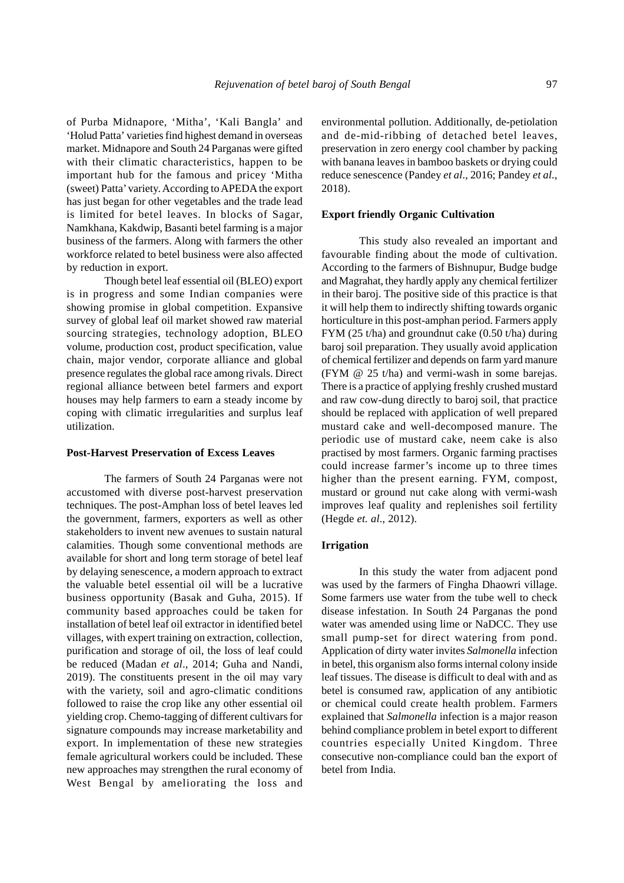of Purba Midnapore, 'Mitha', 'Kali Bangla' and 'Holud Patta' varieties find highest demand in overseas market. Midnapore and South 24 Parganas were gifted with their climatic characteristics, happen to be important hub for the famous and pricey 'Mitha (sweet) Patta' variety. According to APEDA the export has just began for other vegetables and the trade lead is limited for betel leaves. In blocks of Sagar, Namkhana, Kakdwip, Basanti betel farming is a major business of the farmers. Along with farmers the other workforce related to betel business were also affected by reduction in export.

Though betel leaf essential oil (BLEO) export is in progress and some Indian companies were showing promise in global competition. Expansive survey of global leaf oil market showed raw material sourcing strategies, technology adoption, BLEO volume, production cost, product specification, value chain, major vendor, corporate alliance and global presence regulates the global race among rivals. Direct regional alliance between betel farmers and export houses may help farmers to earn a steady income by coping with climatic irregularities and surplus leaf utilization.

#### **Post-Harvest Preservation of Excess Leaves**

The farmers of South 24 Parganas were not accustomed with diverse post-harvest preservation techniques. The post-Amphan loss of betel leaves led the government, farmers, exporters as well as other stakeholders to invent new avenues to sustain natural calamities. Though some conventional methods are available for short and long term storage of betel leaf by delaying senescence, a modern approach to extract the valuable betel essential oil will be a lucrative business opportunity (Basak and Guha, 2015). If community based approaches could be taken for installation of betel leaf oil extractor in identified betel villages, with expert training on extraction, collection, purification and storage of oil, the loss of leaf could be reduced (Madan *et al*., 2014; Guha and Nandi, 2019). The constituents present in the oil may vary with the variety, soil and agro-climatic conditions followed to raise the crop like any other essential oil yielding crop. Chemo-tagging of different cultivars for signature compounds may increase marketability and export. In implementation of these new strategies female agricultural workers could be included. These new approaches may strengthen the rural economy of West Bengal by ameliorating the loss and environmental pollution. Additionally, de-petiolation and de-mid-ribbing of detached betel leaves, preservation in zero energy cool chamber by packing with banana leaves in bamboo baskets or drying could reduce senescence (Pandey *et al*., 2016; Pandey *et al*., 2018).

## **Export friendly Organic Cultivation**

This study also revealed an important and favourable finding about the mode of cultivation. According to the farmers of Bishnupur, Budge budge and Magrahat, they hardly apply any chemical fertilizer in their baroj. The positive side of this practice is that it will help them to indirectly shifting towards organic horticulture in this post-amphan period. Farmers apply FYM (25 t/ha) and groundnut cake (0.50 t/ha) during baroj soil preparation. They usually avoid application of chemical fertilizer and depends on farm yard manure (FYM @ 25 t/ha) and vermi-wash in some barejas. There is a practice of applying freshly crushed mustard and raw cow-dung directly to baroj soil, that practice should be replaced with application of well prepared mustard cake and well-decomposed manure. The periodic use of mustard cake, neem cake is also practised by most farmers. Organic farming practises could increase farmer's income up to three times higher than the present earning. FYM, compost, mustard or ground nut cake along with vermi-wash improves leaf quality and replenishes soil fertility (Hegde *et. al*., 2012).

## **Irrigation**

In this study the water from adjacent pond was used by the farmers of Fingha Dhaowri village. Some farmers use water from the tube well to check disease infestation. In South 24 Parganas the pond water was amended using lime or NaDCC. They use small pump-set for direct watering from pond. Application of dirty water invites *Salmonella* infection in betel, this organism also forms internal colony inside leaf tissues. The disease is difficult to deal with and as betel is consumed raw, application of any antibiotic or chemical could create health problem. Farmers explained that *Salmonella* infection is a major reason behind compliance problem in betel export to different countries especially United Kingdom. Three consecutive non-compliance could ban the export of betel from India.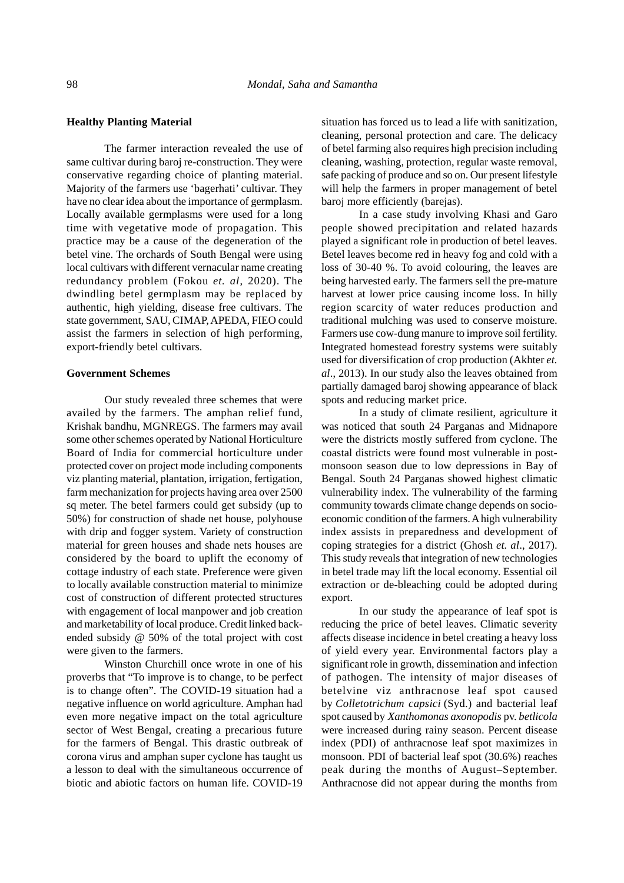## **Healthy Planting Material**

The farmer interaction revealed the use of same cultivar during baroj re-construction. They were conservative regarding choice of planting material. Majority of the farmers use 'bagerhati' cultivar. They have no clear idea about the importance of germplasm. Locally available germplasms were used for a long time with vegetative mode of propagation. This practice may be a cause of the degeneration of the betel vine. The orchards of South Bengal were using local cultivars with different vernacular name creating redundancy problem (Fokou *et. al*, 2020). The dwindling betel germplasm may be replaced by authentic, high yielding, disease free cultivars. The state government, SAU, CIMAP, APEDA, FIEO could assist the farmers in selection of high performing, export-friendly betel cultivars.

## **Government Schemes**

Our study revealed three schemes that were availed by the farmers. The amphan relief fund, Krishak bandhu, MGNREGS. The farmers may avail some other schemes operated by National Horticulture Board of India for commercial horticulture under protected cover on project mode including components viz planting material, plantation, irrigation, fertigation, farm mechanization for projects having area over 2500 sq meter. The betel farmers could get subsidy (up to 50%) for construction of shade net house, polyhouse with drip and fogger system. Variety of construction material for green houses and shade nets houses are considered by the board to uplift the economy of cottage industry of each state. Preference were given to locally available construction material to minimize cost of construction of different protected structures with engagement of local manpower and job creation and marketability of local produce. Credit linked backended subsidy @ 50% of the total project with cost were given to the farmers.

Winston Churchill once wrote in one of his proverbs that "To improve is to change, to be perfect is to change often". The COVID-19 situation had a negative influence on world agriculture. Amphan had even more negative impact on the total agriculture sector of West Bengal, creating a precarious future for the farmers of Bengal. This drastic outbreak of corona virus and amphan super cyclone has taught us a lesson to deal with the simultaneous occurrence of biotic and abiotic factors on human life. COVID-19 situation has forced us to lead a life with sanitization, cleaning, personal protection and care. The delicacy of betel farming also requires high precision including cleaning, washing, protection, regular waste removal, safe packing of produce and so on. Our present lifestyle will help the farmers in proper management of betel baroj more efficiently (barejas).

In a case study involving Khasi and Garo people showed precipitation and related hazards played a significant role in production of betel leaves. Betel leaves become red in heavy fog and cold with a loss of 30-40 %. To avoid colouring, the leaves are being harvested early. The farmers sell the pre-mature harvest at lower price causing income loss. In hilly region scarcity of water reduces production and traditional mulching was used to conserve moisture. Farmers use cow-dung manure to improve soil fertility. Integrated homestead forestry systems were suitably used for diversification of crop production (Akhter *et. al*., 2013). In our study also the leaves obtained from partially damaged baroj showing appearance of black spots and reducing market price.

In a study of climate resilient, agriculture it was noticed that south 24 Parganas and Midnapore were the districts mostly suffered from cyclone. The coastal districts were found most vulnerable in postmonsoon season due to low depressions in Bay of Bengal. South 24 Parganas showed highest climatic vulnerability index. The vulnerability of the farming community towards climate change depends on socioeconomic condition of the farmers. A high vulnerability index assists in preparedness and development of coping strategies for a district (Ghosh *et. al*., 2017). This study reveals that integration of new technologies in betel trade may lift the local economy. Essential oil extraction or de-bleaching could be adopted during export.

In our study the appearance of leaf spot is reducing the price of betel leaves. Climatic severity affects disease incidence in betel creating a heavy loss of yield every year. Environmental factors play a significant role in growth, dissemination and infection of pathogen. The intensity of major diseases of betelvine viz anthracnose leaf spot caused by *Colletotrichum capsici* (Syd.) and bacterial leaf spot caused by *Xanthomonas axonopodis* pv. *betlicola* were increased during rainy season. Percent disease index (PDI) of anthracnose leaf spot maximizes in monsoon. PDI of bacterial leaf spot (30.6%) reaches peak during the months of August–September. Anthracnose did not appear during the months from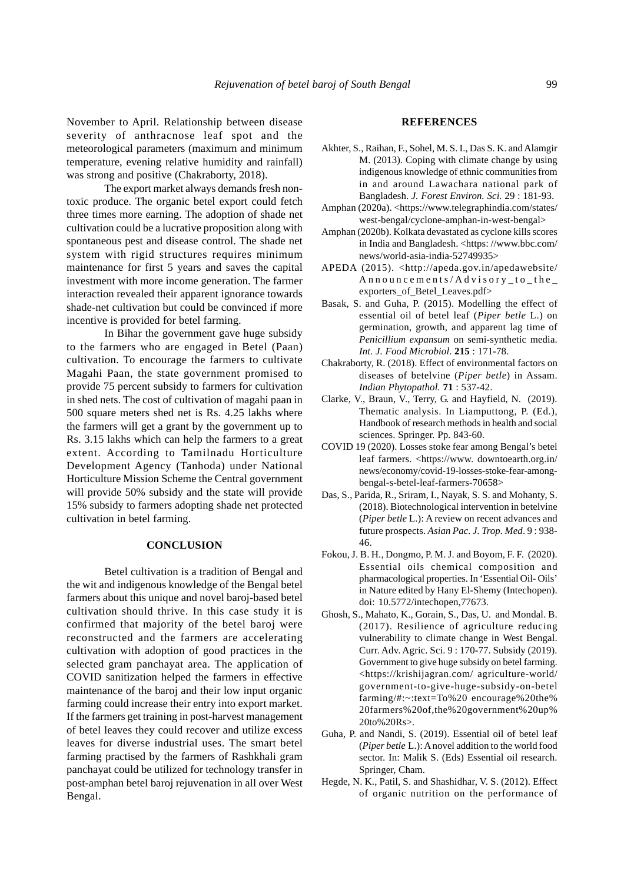November to April. Relationship between disease severity of anthracnose leaf spot and the meteorological parameters (maximum and minimum temperature, evening relative humidity and rainfall) was strong and positive (Chakraborty, 2018).

The export market always demands fresh nontoxic produce. The organic betel export could fetch three times more earning. The adoption of shade net cultivation could be a lucrative proposition along with spontaneous pest and disease control. The shade net system with rigid structures requires minimum maintenance for first 5 years and saves the capital investment with more income generation. The farmer interaction revealed their apparent ignorance towards shade-net cultivation but could be convinced if more incentive is provided for betel farming.

In Bihar the government gave huge subsidy to the farmers who are engaged in Betel (Paan) cultivation. To encourage the farmers to cultivate Magahi Paan, the state government promised to provide 75 percent subsidy to farmers for cultivation in shed nets. The cost of cultivation of magahi paan in 500 square meters shed net is Rs. 4.25 lakhs where the farmers will get a grant by the government up to Rs. 3.15 lakhs which can help the farmers to a great extent. According to Tamilnadu Horticulture Development Agency (Tanhoda) under National Horticulture Mission Scheme the Central government will provide 50% subsidy and the state will provide 15% subsidy to farmers adopting shade net protected cultivation in betel farming.

# **CONCLUSION**

Betel cultivation is a tradition of Bengal and the wit and indigenous knowledge of the Bengal betel farmers about this unique and novel baroj-based betel cultivation should thrive. In this case study it is confirmed that majority of the betel baroj were reconstructed and the farmers are accelerating cultivation with adoption of good practices in the selected gram panchayat area. The application of COVID sanitization helped the farmers in effective maintenance of the baroj and their low input organic farming could increase their entry into export market. If the farmers get training in post-harvest management of betel leaves they could recover and utilize excess leaves for diverse industrial uses. The smart betel farming practised by the farmers of Rashkhali gram panchayat could be utilized for technology transfer in post-amphan betel baroj rejuvenation in all over West Bengal.

## **REFERENCES**

- Akhter, S., Raihan, F., Sohel, M. S. I., Das S. K. and Alamgir M. (2013). Coping with climate change by using indigenous knowledge of ethnic communities from in and around Lawachara national park of Bangladesh. *J. Forest Environ. Sci.* 29 : 181-93.
- Amphan (2020a). <https://www.telegraphindia.com/states/ west-bengal/cyclone-amphan-in-west-bengal>
- Amphan (2020b). Kolkata devastated as cyclone kills scores in India and Bangladesh. <https://www.bbc.com/ news/world-asia-india-52749935>
- APEDA (2015). <http://apeda.gov.in/apedawebsite/ Announcements/Advisory\_to\_the\_ exporters of Betel Leaves.pdf>
- Basak, S. and Guha, P. (2015). Modelling the effect of essential oil of betel leaf (*Piper betle* L.) on germination, growth, and apparent lag time of *Penicillium expansum* on semi-synthetic media. *Int. J. Food Microbiol*. **215** : 171-78.
- Chakraborty, R. (2018). Effect of environmental factors on diseases of betelvine (*Piper betle*) in Assam. *Indian Phytopathol.* **71** : 537-42.
- Clarke, V., Braun, V., Terry, G. and Hayfield, N. (2019). Thematic analysis. In Liamputtong, P. (Ed.), Handbook of research methods in health and social sciences. Springer. Pp. 843-60.
- COVID 19 (2020). Losses stoke fear among Bengal's betel leaf farmers. <https://www. downtoearth.org.in/ news/economy/covid-19-losses-stoke-fear-amongbengal-s-betel-leaf-farmers-70658>
- Das, S., Parida, R., Sriram, I., Nayak, S. S. and Mohanty, S. (2018). Biotechnological intervention in betelvine (*Piper betle* L.): A review on recent advances and future prospects. *Asian Pac. J. Trop. Med*. 9 : 938- 46.
- Fokou, J. B. H., Dongmo, P. M. J. and Boyom, F. F. (2020). Essential oils chemical composition and pharmacological properties. In 'Essential Oil- Oils' in Nature edited by Hany El-Shemy (Intechopen). doi: 10.5772/intechopen,77673.
- Ghosh, S., Mahato, K., Gorain, S., Das, U. and Mondal. B. (2017). Resilience of agriculture reducing vulnerability to climate change in West Bengal. Curr. Adv. Agric. Sci. 9 : 170-77. Subsidy (2019). Government to give huge subsidy on betel farming. <https://krishijagran.com/ agriculture-world/ government-to-give-huge-subsidy-on-betel farming/#:~:text=To%20 encourage%20the% 20farmers%20of,the%20government%20up% 20to%20Rs>.
- Guha, P. and Nandi, S. (2019). Essential oil of betel leaf (*Piper betle* L.): A novel addition to the world food sector. In: Malik S. (Eds) Essential oil research. Springer, Cham.
- Hegde, N. K., Patil, S. and Shashidhar, V. S. (2012). Effect of organic nutrition on the performance of